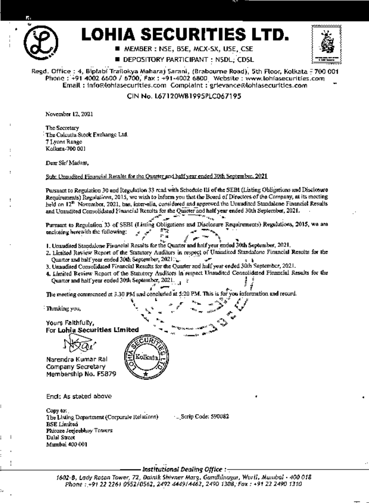

# LOHIA SECURITIES LTD.

■ MEMBER ː NSE, BSE, MCX-SX, USE, CSE

DEPOSITORY PARTICIPANT: N5DL; CD5L



Regd. Office : 4, Biplabi Trailokya Maharaj Sarani, (Brabourne Road), 5th Floor, Kolkata - 700 001 Phone: +91 4002 6600 / 6700, Fax: +91-4002 6800 Website: www.lohiasecurities.com Email: info@tohiasecurities.com Complaint: grievance@tohiasecurities.com

CIN No. L67120WB1995PLC067195

November 12, 2021

The Secretary The Culcutta Stock Exchange Ltd. 7 Lyons Range Kolkata-700 001

Dear Sir! Madam,

Sub: Unaudited Financial Results for the Quarter and half year ended 30th September, 2021.

Pursuant to Regulation 30 and Regulation 33 read with Schedule III of the SEBI (Listing Obligations and Disclosure Requirements) Regulations, 2015, we wish to inform you that the Board of Directors of the Company, at its meeting held on 12<sup>th</sup> November, 2021, has, inter-alia, considered and approved the Unaudited Standalone Financial Results and Unaudited Consolidated Financial Results for the Quarter and half year ended 30th September, 2021. **Artist Control** 

Pursuant to Repulation 33 of SEBI (Listing Obligations and Disclosure Requirements) Regulations, 2015, we are enclosing herewith the following: r.

1. Unaudited Standalone Financial Results for the Quarter and half your ended 30th September, 2021,

- 2. Limited Review Report of the Statutory Auditors in respect of Unandited Standalone Financial Results for the Quarter and half year ended 30th September, 2021.
- 3. Unaudited Consolidated Financial Results for the Quarter and half year ended 30th September, 2021.
- 4. Idmited Review Report of the Statutory Auditors in respect Unaudited Consolidated Financial Results for the Quarter and half year ended 30th September, 2021.

The meeting commenced at 3.30 PM and concluded at 5:20 PM. This is for you information and record.

<sup>:</sup> Thanking you,

Yours Falthfully, For Lohia Securities Limited

Narendra Kumar Ral Company Secretary Membership No. F5879



End: As stated above

Copy to: The Listing Department (Corporale Relations) **BSE** Limited Phiroze Jeejeebhoy Towers **Dalal Street** Mumbai 400 001

- .. Serip Code: 590082

- Institutional Dealing Office : -

1602-B. Lady Roton Tower, 72, Dainik Shivner Marg, Gandhinagar, Worli, Mumbai - 400 018 Phone : +91 22 2261 0552/0562, 2492 4449/4462, 2490 1308, Fax : +91 22 2490 1310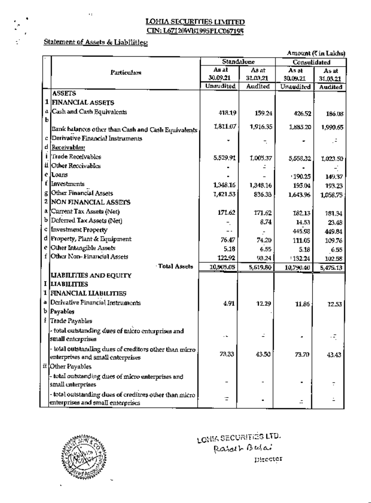### Statement of Assets & Liabilities:

 $\ddot{\phantom{a}}$ 

|   |                                                                                              |            |          |              | Amount (C in Lakhs) |  |
|---|----------------------------------------------------------------------------------------------|------------|----------|--------------|---------------------|--|
|   |                                                                                              | Standalone |          | Consulidated |                     |  |
|   | Particulars                                                                                  | As at      | As at    | As at        | As at               |  |
|   |                                                                                              | 30.09.21   | 31.03.21 | 30.09.21     | 31,03,21            |  |
|   |                                                                                              | Unaudited  | Audited  | Unaudited    | Audited             |  |
|   | <b>ASSETS</b>                                                                                |            |          |              |                     |  |
|   | 1 FINANCIAL ASSETS                                                                           |            |          |              |                     |  |
|   | a [Cash and Cash Equivalents]                                                                | 418.19     | 159.24   | 426.52       | 186.08              |  |
| ь |                                                                                              | 1,811.07   | 1,916,35 | 1,685.20     | 1,990.65            |  |
|   | Bank balances other than Cash and Cash Equivalents (                                         |            |          |              |                     |  |
| c | Derivative Financial Instruments                                                             |            |          |              |                     |  |
|   | d <u> Receivables:</u>                                                                       |            |          |              |                     |  |
|   | Trade Receivables                                                                            | 5,529.91   | 1,005.37 | 5,558,32     | 1,023.50            |  |
|   | il   Other Reccivables                                                                       |            |          |              |                     |  |
|   | e JLoans,                                                                                    |            |          | 190.25       | 149.37              |  |
|   | f Investments                                                                                | 1,348.16   | 1,348.16 | 195.04       | 193.23              |  |
| g | Other Financial Assets                                                                       | 1,421.53   | 836.33   | 1,643.96     | 1,058.75            |  |
|   | 2 NON FINANCIAL ASSETS                                                                       |            |          |              |                     |  |
|   | a [Current Tax Assets (Net)                                                                  | 171.62     | 171,62   | 18213        | 181.34              |  |
|   | b Deferred Tax Assets (Net)                                                                  |            | 8.74     | 14.53        | 23.48               |  |
|   | c Investment Property                                                                        | . .        |          | 445.98       | 449.84              |  |
|   | d Property, Plant & Equipment                                                                | 76.47      | 74.20    | 111.05       | 109.76              |  |
|   | e  Other Intangible Assets                                                                   | 5.18       | 6.55     | 5.18         | 6.55                |  |
|   | f Other Non-Financial Assets                                                                 | 122.92     | 93.24    | 132.24       | 102.58              |  |
|   | Total Assets                                                                                 | 10,905.05  | 5,619.80 | 10,790.40    | 5,475.13            |  |
|   | <b>LIABILITIES AND EQUITY</b>                                                                |            |          |              |                     |  |
|   | I LIABILITIES                                                                                |            |          |              |                     |  |
|   | 1 FINANCIAL LIABILITIES                                                                      |            |          |              |                     |  |
|   | a Derivative Financial Instruments                                                           | 4.91       | 12.29    | 11.86        | 12.53               |  |
|   | <b>b</b> Payables                                                                            |            |          |              |                     |  |
|   | <i>i</i> Trade Payables                                                                      |            |          |              |                     |  |
|   | - total outstanding dues of micro enterprises and                                            |            |          |              |                     |  |
|   | small enterprises                                                                            | . .        |          |              | ٠.                  |  |
|   | total outstanding dues of creditors other than micro-                                        |            |          |              |                     |  |
|   | enterprises and small enterprises.                                                           | 73,33      | 43.50    | 73.70        | 43.43               |  |
|   | if Other Payables                                                                            |            |          |              |                     |  |
|   |                                                                                              |            |          |              |                     |  |
|   | - total outstanding dues of micro enterprises and<br>small enterprises                       |            |          |              |                     |  |
|   |                                                                                              |            |          |              |                     |  |
|   | - total outstanding dues of creditors other than micro-<br>enterprises and small enterprises | Ξ          |          |              |                     |  |



LONIA SECURITIÉS LTD. Rajech Berlai Director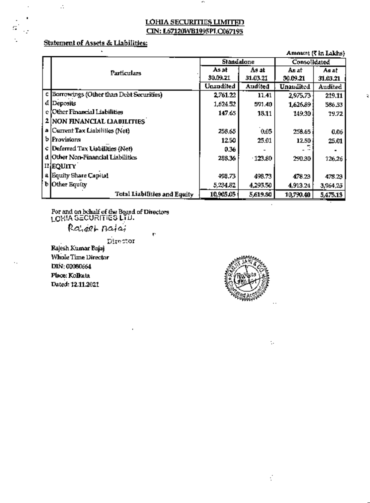J.

### Statement of Assets & Liabilities:

 $\blacksquare$ 

 $\mathcal{L}$ 

٠

C,

|                                           |            |           |              | Amount (5 In Lakns) |
|-------------------------------------------|------------|-----------|--------------|---------------------|
|                                           | Standalone |           | Consolidated |                     |
| Particulars                               | As at      | As at     | As af        | As at               |
|                                           | 30.09.21   | 31.03.21  | 30.09.21     | 31.03.21            |
|                                           | Unaudited  | Audited   | Unaudited    | Audited             |
| c Borrowings (Other than Debt Securities) | 2,761.22   | 11.41     | 2,975.73     | 219.11              |
| d Deposits                                | 1,624.52   | 591.40    | 1,626.89     | 586.53              |
| e [Other Financial Liabilities]           | 147.65     | 18.11     | 149.30       | 19.72               |
| 2 NON FINANCIAL LIADILITIES               |            |           |              |                     |
| a Current Tax Liabilities (Net)           | 258.65     | 0.05      | 258.65       | 0.06                |
| b Provisions                              | 12.50      | 25.01     | 12.50        | 25.01               |
| c Deferred Tax Liabilities (Net)          | 0.36       |           |              |                     |
| d Other Non-Financial Liabilities         | 238.36     | $-123.80$ | 290.30       | 126,26              |
| II]EQUITY                                 |            |           |              |                     |
| a Equity Share Capital                    | 498,73     | 498.73    | 478.23       | 478.23              |
| <b>b</b> Other Equity                     | 5,234,82   | 4,295.50  | 4,913.24     | 3,964,25            |
| Total Liabilities and Equity              | 10,905.05  | 5,619.80  | 10,790.40    | 5,475.13            |

For and on behalf of the Board of Directors LOERA SECURITIES LTD.

Rajeet Bajai

Director

è

Rajesh Kumar Bajaj Whole Time Director DIN: 00080664 Place: Kolkata Dated: 12.11.2021



 $\ddot{\phantom{a}}$  .

¢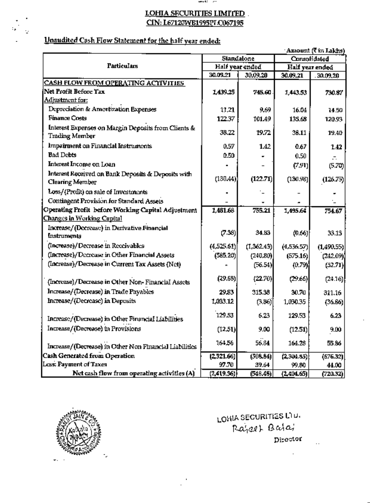ance: 20

 $\overline{a}$ 

### Unaudited Cash Flow Statement for the half year ended:

 $\mathbb{I}_\bullet$ 

Ÿ.

|                                                                       | 'Amount (CDI LAKAS)<br>Standalone |                 |                 |            |  |
|-----------------------------------------------------------------------|-----------------------------------|-----------------|-----------------|------------|--|
|                                                                       |                                   |                 | Consolidated    |            |  |
| <b>Particulars</b>                                                    |                                   | Half year ended | Half year ended |            |  |
|                                                                       | 30.09.21                          | 30.09.20        | 30.09.21        | 30.09,20   |  |
| <b>CASH FLOW FROM OPERATING ACTIVITIES</b>                            |                                   |                 |                 |            |  |
| Net Profit Before Tax                                                 | 1,439.25                          | 745.60          | 1,443,53        | 730.87     |  |
| Adjustment for:                                                       |                                   |                 |                 |            |  |
| Depreciation & Amortization Expenses                                  | 17.21                             | 9.69            | 16.04           | 14.50      |  |
| <b>Finance Costs</b>                                                  | 122.37                            | 101.49          | 135.68          | 120.93     |  |
| Interest Expenses on Margin Deposits from Clients &                   | 38.22                             | 19.72           | 38.11           | 19.40      |  |
| <b>Trading Member</b>                                                 |                                   |                 |                 |            |  |
| Impairment on Financial Instruments                                   | 0.57                              | 1.42            | 0.67            | 1.42       |  |
| <b>Bad Debts</b>                                                      | 0.50                              |                 | 0.50            |            |  |
| Interest Income on Loan                                               |                                   |                 | (7.91)          | (5.70)     |  |
| Interest Received on Bank Deposits & Deposits with<br>Clearing Member | (130.44)                          | (122.71)        | (130.96)        | (126.75)   |  |
| Loss/(Profit) on sale of Investments                                  |                                   |                 |                 |            |  |
| Contingent Provision for Standard Assets                              |                                   |                 |                 |            |  |
| Operating Profit before Working Capital Adjustment                    | 1,481.68                          | 755.21          | 1,495.64        | 754.67     |  |
| <u> Changes in Working Capital</u>                                    |                                   |                 |                 |            |  |
| Increase/(Decrease) in Derivative Financial                           |                                   |                 |                 |            |  |
| Instruments                                                           | (7.38)                            | 34.83           | (0.66)          | 33.13      |  |
| (Increase)/Decrease in Receivables                                    | (4,525.61)                        | (1,362.43)      | (4,536,57)      | (1,490.55) |  |
| (Increase)/Decrease in Other Financial Assets                         | (585.20)                          | (240.80)        | (575.16)        | (242.09)   |  |
| (Increase)/Decrease in Current Tax Assets (Net)                       |                                   | (56.54)         | (0.79)          | (52.71)    |  |
| (Increase)/Decrease in Other Non-Financial Assets                     | (29.68)                           | (22.70)         | (29.66)         | (24.16)    |  |
| Increase/(Decrease) in Trade Payables                                 | 29.83                             | 315.38          | 30.70           | 311,16     |  |
| Increase/(Decrease) in Deposits                                       | 1,033.12                          | (3.86)          | 1,030.35        | (36.66)    |  |
| Increase/(Decrease) in Other Financial Liabilities                    | 129.53                            | 6.23            | 129.53          | 6.23       |  |
| Increase/(Decrease) in Provisions                                     | (12.51)                           | 9.00            | (12.51)         | 9.00       |  |
| Increase/(Decrease) in Other Non Financial Liabilities                | 164.56                            | 56.84           | 164.28          | 55.86      |  |
| Cash Generated from Operation                                         | (2,321,66)                        | (508.84)        | (2,304.85)      | (676.32)   |  |
| Less: Payment of Taxes                                                | 97.70                             | 39.64           | 99.80           | 44.00      |  |
| Net cash flow from operating activities (A)                           | (2, 419.36)                       | (548.48)        | (2,404.65)      | (720.32)   |  |



LOVIA SECURITIES LTD. Rajaet Bata, Director

 $\ddot{\phantom{a}}$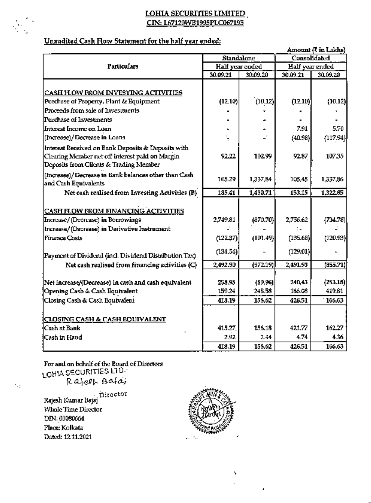$\sqrt{2}$ 

### Unaudited Cash Flow Statement for the half year ended:

|                                                                                                                                                 |                   |          |                 | Атови (Си Сакла) |  |
|-------------------------------------------------------------------------------------------------------------------------------------------------|-------------------|----------|-----------------|------------------|--|
|                                                                                                                                                 | <b>Standalone</b> |          | Consolidated    |                  |  |
| <b>Particulars</b>                                                                                                                              | Half year ended   |          | Half year ended |                  |  |
|                                                                                                                                                 | 30.09.21          | 30.09.20 | 30.09.21        | 30.09.20         |  |
| CASH FLOW FROM INVESTING ACTIVITIES                                                                                                             |                   |          |                 |                  |  |
| Purchase of Property, Plant & Equipment                                                                                                         | (12.10)           | (10.12)  | (12.10)         | (10.12)          |  |
| Proceeds from sale of Investments                                                                                                               |                   |          |                 |                  |  |
| Purchase of Investments                                                                                                                         |                   |          |                 |                  |  |
| Interest Income on Loan                                                                                                                         |                   |          | 7.91            | 5.70             |  |
| (Increase)/Decrease in Loans                                                                                                                    |                   |          | (40.98)         | (117.94)         |  |
| Interest Received on Bank Deposits & Deposits with<br>Clearing Member net off interest paid on Margin<br>Deposits from Clients & Trading Member | 92.22             | 102.99   | 92.87           | 107.35           |  |
| (Increase)/Decrease in Bank balances other than Cash<br>and Cash Equivalents                                                                    | 105.29            | 1,337,84 | 105.45          | 1,337,86         |  |
| Net cash realised from Investing Activities (B)                                                                                                 | 135.41            | 1,430.71 | 153.15          | 1,322.85         |  |
| <b>CASH FLOW FROM FINANCING ACTIVITIES</b>                                                                                                      |                   |          |                 |                  |  |
| Increase/(Decrease) in Borrowings                                                                                                               | 2.749.81          | (870.70) | 2,756.62        | (734.78)         |  |
| Increase/(Decrease) in Derivative Instrument                                                                                                    |                   |          |                 |                  |  |
| Finance Costs                                                                                                                                   | (122.37)          | (101.49) | (135.68)        | (120.93)         |  |
| Payment of Dividend (incl. Dividend Distribution Tax)                                                                                           | (134.54)          |          | (129.01)        |                  |  |
| Net cash realised from financing activities (C)                                                                                                 | 2,492.90          | (972.19) | 2,491.93        | (855.71)         |  |
| Net increase/(Decrease) in cash and cash equivalent                                                                                             | 258.95            | (89.96)  | 240,43          | (253.18)         |  |
| Opening Cash & Cash Equivalent                                                                                                                  | 159.24            | 248.58   | 186.08          | 419.81           |  |
| Closing Cash & Cash Equivalent                                                                                                                  | 418.19            | 158.62   | 426.51          | 166.63           |  |
| <b>CLOSING CASH &amp; CASH EQUIVALENT</b>                                                                                                       |                   |          |                 |                  |  |
| <b>Cash at Bank</b>                                                                                                                             | 415.27            | 156.18   | 421.77          | 162.27           |  |
| <b>Cash in Hand</b>                                                                                                                             | 2.92              | 244      | 4.74            | 4.36             |  |
|                                                                                                                                                 | 418.19            | 158.62   | 426.51          | 166,63           |  |

For and on behalf of the Board of Directors<br>LGHIA SECURITIES LTD.<br>R aject Baids

Director<br>Rajesh Kumar Bajaj<br>Rasta Ti Whole Time Director DIN: 00080664 Place: Kolkata Dated: 12.11.2021

N.



Ŷ.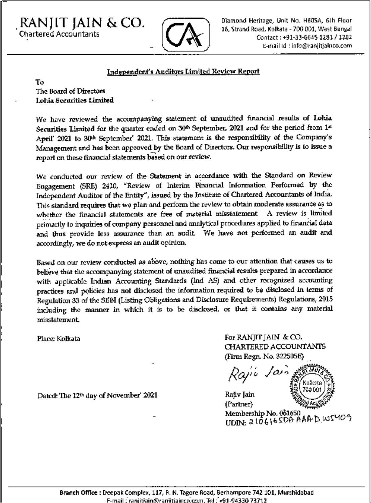RANJIT JAIN &CO. Chartered Accountants



Diamond Heritage, Unit No. H6OSA, 6lh Floor 16, Strand Road, Kolkata - 700 001, West Bengal Coniaci: -91-33-664\$ 1281 / I2S2 t-ni3il Id • info@ror»jiiiatnco.cofri

#### Independent's Auditors Limited Review Report

To The Board of Directors Lohia Securities Limited

We have reviewed the accompanying statement of unaudited financial results of Lohia Securities Limited for the quarter ended on  $30%$  September, 2021 and for the period from  $1*$ April' 2021 to 30<sup>kh</sup> September' 2021. This statement is the responsibility of the Company's Management and has been approved by the Board of Directors. Our responsibility is to issue a report on these financial statements based on our review.

Wc conducted our review of the Statement in accordance with the Standard on Review Engagement (SRB) 2410, 'Review of Interim Financial Inlormation Performed by the Independent Auditor of flic Entity", issued by the Institute of Chartered Accountants of India. This standard requires that wo plan and perform the review to obtain moderate assurance as to whether the financial statements are free of material misstatement. A review is limited primarily to inquiries of company personnel and analytical procedures applied to financial data and thus provide less assurance than an audit We have not performed an audit and aceordingly, we do notexpress an audit opinion.

Based on our review conducted as above, nothing has come to our attention that causes us to believe that the accompanying statement of unaudited financial results prepared in accordance with applicable Indian Accounting Standards (Ind AS) and oflier recognized accounting practices and policies has not disclosed the information required to be disclosed in terms of Regulation 33 of the SEBI (Listing Obligations and Disclosure Requirements) Regulations, 2015 including the manner in which it is to be disclosed, or that it contains any material misstatement.

Place: Kolkata For RANJIT JAIN & CO. CHARTERED ACCOUNTANTS (Finn Regn. No. 3225I35E)

I / 'Li 7C0

Rajiv Jain (Partner) Membership No, 061650<br>UDIN: 210616SD<del>D</del> AAAD WSMO9

Dated: The 12<sup>th</sup> day of November' 2021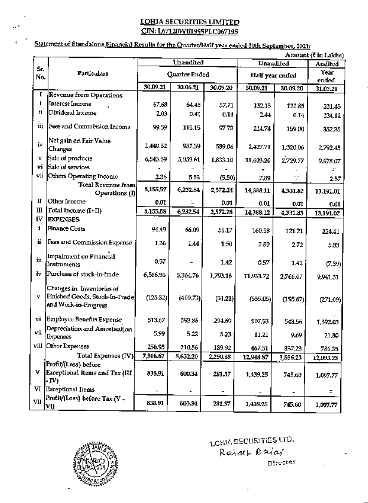### Statement of Standalone Financial Results for the Quarter/Half year ended 30th September, 2021;

 $\sim$ 

÷

|       | Amount (Tin Lakha)                                                                  |          |               |          |           |                 |           |  |  |  |
|-------|-------------------------------------------------------------------------------------|----------|---------------|----------|-----------|-----------------|-----------|--|--|--|
| Sr.   |                                                                                     |          | Unaudited     |          | Unaudifed | Audited         |           |  |  |  |
| No.   | Particulars                                                                         |          | Quarter Ended |          |           | Half year ended |           |  |  |  |
|       |                                                                                     |          |               |          |           |                 |           |  |  |  |
|       |                                                                                     | 30.09.21 | 30.06.21      | 30.09.20 | 30.09.21  | 30.09.20        | 31.03.21  |  |  |  |
| L     | Revenue from Operations                                                             |          |               |          |           |                 |           |  |  |  |
|       | <b>Interest Income</b>                                                              | 67,68    | 64.45         | 57.71    | 132,13    | 122.85          | 231.45    |  |  |  |
| ii    | Dividend Income                                                                     | 2.03     | 0.41          | 0.14     | 244       | 0.14            | 134.12    |  |  |  |
| ťΪ    | Fees and Commission Income                                                          | 99.59    | 115.15        | 97.73    | 214.74    | 159.00          | 352.35    |  |  |  |
| iv    | Net gain on Fair Value<br>Changes                                                   | 1,440.32 | 987.39        | 589.06   | 2,427.71  | 1,320.06        | 2,792.45  |  |  |  |
| v     | Sale of products                                                                    | 6,543.59 | 5,059.61      | 1,833.10 | 11,603.20 | 2,729.77        | 9,678.07  |  |  |  |
| vi    | Sale of services                                                                    |          |               |          |           |                 |           |  |  |  |
| vii   | Others Operating Income                                                             | 2.36     | 5.53          | (5.50)   | 7.89      | .               | 2.57      |  |  |  |
|       | <b>Total Revenue from</b><br>Operations (I)                                         | 8,155,57 | 6,232.54      | 2,572.24 | 14,388.11 | 4.331.82        | 13,191.01 |  |  |  |
| П     | Other Income                                                                        | 0.01     |               | 0.01     | 0.01      | 0.01            | 0.01      |  |  |  |
| Ш     | Total Income (I+II)                                                                 | 8,155.58 | 6,232.54      | 2,572.25 | 14,388.12 | 4,331.83        |           |  |  |  |
| IV    | <b>EXPENSES</b>                                                                     |          |               |          |           |                 | 13,191.02 |  |  |  |
| i     | Finance Costs                                                                       | 94.49    | 66.09         | 56.17    | 160.58    | 121.21          | 224.41    |  |  |  |
| ü     | Fees and Commission Expense                                                         | 1.36     | 1.44          | 1.50     | 2.80      | 2.72            | 5.83      |  |  |  |
| Шί    | Impairment on Financial<br>Instruments                                              | 0.57     |               | 142      | 0.57      | 1.42            | (7.39)    |  |  |  |
| lv.   | Purchase of stock-in-trade                                                          | 6,568.96 | 5,364.76      | 1,793,16 | 11,933.72 | 2,766.07        | 9,941.31  |  |  |  |
| v     | Changes in Inventories of<br>Finished Goods, Stock-In-Trade<br>and Work-in-Progress | (125.32) | (409.73)      | (51.21)  | (535.05)  | (195.67)        | (271.09)  |  |  |  |
| vi    | <b>Employee Benefits Expense</b>                                                    | 513,67   | 393.86        | 294.69   | 907.53    | 543.56          | 1,392.03  |  |  |  |
| vii ! | Depreciation and Amortisation<br>Expenses                                           | 5.99     | 5.22          | 5.23     | 11.21     | 9.69            | 21,80     |  |  |  |
|       | VIII Other Expenses                                                                 | 256.95   | 210,56        | 189.92   | 467.51    | 337,23          | 786.35    |  |  |  |
|       | Total Expenses (IV)                                                                 | 7,316.67 | 5,632.20      | 2,290.88 | 12,943.87 | 3,586,23        | 12,093.25 |  |  |  |
|       | [Profit/(Loss) before                                                               |          |               |          |           |                 |           |  |  |  |
|       | V Exceptional Items and Tax (III<br>- IV)                                           | 838.91   | 600.34        | 281.37   | 1,439.25  | 745.60          | 1,097.77  |  |  |  |
|       | VI Exceptional Items                                                                |          |               |          |           | ۰               | Ξ.        |  |  |  |
| VII   | Profit/(Loss) before Tax (V -<br><u>VI)</u>                                         | 838.91   | 600.34        | 281,37   | 1,439.25  | 745.60          | 1,097.77  |  |  |  |



LONIA SECURITIES LTD. Rajah Bailar pirector

 $\cdot$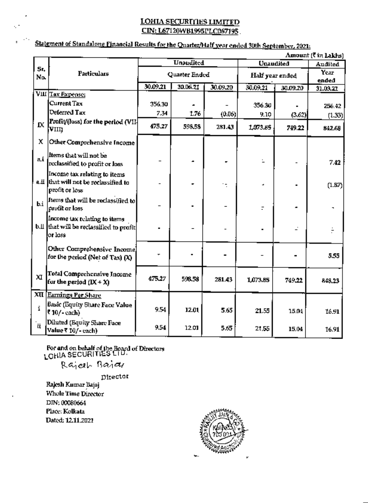### Statement of Standalone Financial Results for the Quarter/Half year ended 30th September, 2021;

|                       | Amount (? in Lakhs)                                                                        |          |               |          |                  |                 |                   |  |  |  |
|-----------------------|--------------------------------------------------------------------------------------------|----------|---------------|----------|------------------|-----------------|-------------------|--|--|--|
|                       |                                                                                            |          | Unaudited     |          | <b>Unaudited</b> | Audited         |                   |  |  |  |
| Sr.<br>No.            | <b>Particulars</b>                                                                         |          | Quarter Ended |          |                  | Half year ended |                   |  |  |  |
|                       |                                                                                            | 30.09.21 | 30.06.21      | 30.09.20 | 30.09.21         | 30.09.20        | ended<br>31.03.21 |  |  |  |
|                       | VIII Tax Expense:                                                                          |          |               |          |                  |                 |                   |  |  |  |
|                       | Current Tax                                                                                | 356.30   |               |          | 356.30           |                 | 256.42            |  |  |  |
|                       | Deferred Tax                                                                               | 7.34     | 1.76          | (0.06)   | 9.10             | (3.62)          | (1.33)            |  |  |  |
| <b>IX</b>             | Profit/(loss) for the period (VII-<br>VIII)                                                | 475.27   | 598.58        | 281.43   | 1,073.85         | 749.22          | 842.68            |  |  |  |
| х                     | Other Comprehensive Income                                                                 |          |               |          |                  |                 |                   |  |  |  |
| ai                    | ltems that will not be<br>reclassified to profit or loss                                   |          |               |          |                  |                 | 7.42              |  |  |  |
|                       | Income tax relating to items<br>a.ii that will not be reclassified to<br>profit or loss    |          |               |          |                  |                 | (1.87)            |  |  |  |
| b.i                   | Items that will be reclassified to<br>profit or loss                                       |          |               |          |                  |                 |                   |  |  |  |
|                       | Income tax relating to items<br><b>b.II</b> that will be reclassified to profit<br>or loss |          |               |          |                  |                 |                   |  |  |  |
|                       | Other Comprehensive Income]<br>for the period (Net of Tax) (X)                             |          |               |          |                  |                 | 5.55              |  |  |  |
| xı                    | Total Comprehensive Income<br>for the period $(IX + X)$                                    | 475.27   | 598.53        | 281.43   | 1,073.85         | 749.22          | 848.23            |  |  |  |
|                       | XII Earnings Per Share                                                                     |          |               |          |                  |                 |                   |  |  |  |
| i                     | Basic (Equity Share Face Value<br>₹10/-each)                                               | 9.54     | 12.01         | 5.65     | 21.55            | 15.04           | 16.91             |  |  |  |
| $\mathbf{u}^{\prime}$ | <b>Diluted (Equity Share Face</b><br>Value ₹ 10/- cach)                                    | 9,54     | 12.01         | 5.65     | 21,55            | 15.04           | 16.91             |  |  |  |

For and on behalf of the Board of Directors<br>LGHIA SECURITIES LTU.

Rajert Bajar

Director Rajesh Kumar Bajaj Whole Time Director DJN: 00080664 Place: Kolkata Dated: 12.11.2021

Ų.

 $\overline{\phantom{a}}$ 

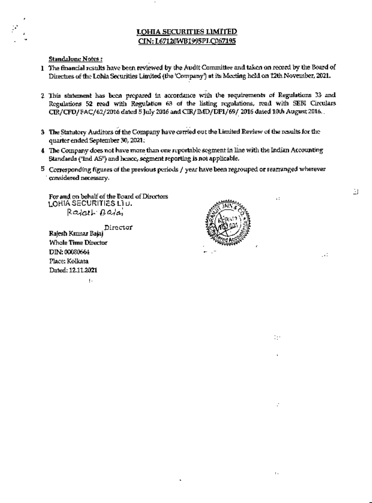**Standalune Notes:** 

- 1 The financial results have been reviewed by the Audit Committee and taken on record by the Board of Directors of the Lohla Securities Limited (the 'Company') at its Meeting held on 12th November, 2021.
- 2 This statement has been prepared in accordance with the requirements of Regulations 33 and Regulations 52 read with Regulation 63 of the listing regulations, read with SEBI Circulars CIR/CFD/FAC/62/2016 dated 5 July 2016 and CIR/IMD/DF1/69/2016 dated 10th August 2016.
- 3 The Statutory Auditors of the Company have carried out the Limited Review of the results for the ouarter ended September 30, 2021.
- 4 The Company does not have more than one reportable segment in line with the Indian Accounting Standards ("Ind AS") and hence, segment reporting is not applicable.
- $5$  Corresponding figures of the previous periods  $f$  year have been regrouped or rearranged wherever considered necessary.

For and on behalf of the Board of Directors LOHIA SECURITIES LIU. Raidth Balai

Director

Rajesh Kumar Bajaj Whole Time Director DIN: 00080664 Place: Kolkata Dated: 12.11.2021

 $\mathbf{I}$ 



 $\cdot$ :

 $\ddots$ 

 $\colon$ 

ЦÚ.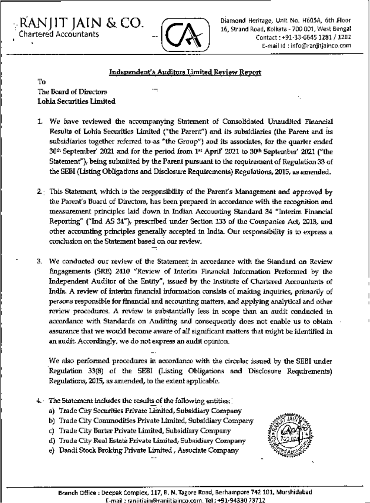RANJIT JAIN & CO. Chartered Accountants



Diamond Heritage, Unit No. H605A, 6th Floor 16, Strand Road, Kolkata - 700 001, West Bengal Contact: +91-33-6645 1281 / 1282 E-mail Id: info@ranjitjainco.com

### Independent's Auditors Limited Review Report

To The Board of Directors **Lohia Securities Limited** 

- 1. We have reviewed the accompanying Statement of Consolidated Unaudited Financial Results of Lohia Securities Limited ("the Parent") and its subsidiaries (the Parent and its subsidiaries together referred to as "the Group") and its associates, for the quarter ended 30th September' 2021 and for the period from 1st April' 2021 to 30th September' 2021 ("the Statement"), being submitted by the Parent pursuant to the requirement of Regulation 33 of the SEBI (Listing Obligations and Disclosure Requirements) Regulations, 2015, as amended.
- 2. This Statement, which is the responsibility of the Parent's Management and approved by the Parent's Board of Directors, has been prepared in accordance with the recognition and measurement principles laid down in Indian Accounting Standard 34 "Interim Financial Reporting" ("Ind AS 34"), prescribed under Section 133 of the Companies Act, 2013, and other accounting principles generally accepted in India. Our responsibility is to express a conclusion on the Statement based on our review.
- 3. We conducted our review of the Statement in accordance with the Standard on Review Engagements (SRE) 2410 "Review of Interim Financial Information Performed by the Independent Auditor of the Entity", issued by the Institute of Chartered Accountants of India. A review of interim financial information consists of making inquiries, primarily of persons responsible for financial and accounting matters, and applying analytical and other review procedures. A review is substantially less in scope than an audit conducted in accordance with Standards on Auditing and consequently does not enable us to oblain assurance that we would become aware of all significant matters that might be identified in an audit. Accordingly, we do not express an audit opinion.

We also performed procedures in accordance with the circular issued by the SEBI under Regulation 33(8) of the SEBI (Listing Obligations and Disclosure Requirements) Regulations, 2015, as amended, to the extent applicable.

- $4.$  The Statement includes the results of the following entities:
	- a) Trade City Securities Private Limited, Subsidiary Company
	- b) Trade City Commodities Private Limited, Subsidiary Company
	- c) Trade City Barter Private Limited, Subsidiary Company.
	- d) Trade City Real Estate Private Limited, Subsidiary Company
	- e} Daadi Stock Broking Private Limited , Associate Company

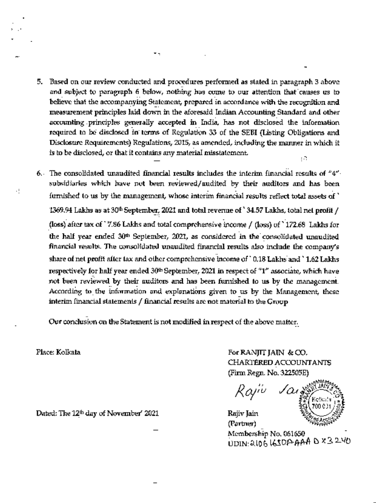- 5. Based on our review conducted and procedures performed as stated in paragraph 3 above and subject to paragraph 6 below, nothing has come to our attention that causes us to believe that the accompanying Statement, prepared in accordance with the recognition and measurement principles laid down in the aforesaid Indian Accounting Standard and other accounting principles generally accepted in India, has not disclosed the information required to be disclosed in terms of Regulation 33 of the SEBI (Listing Obligations and Disclosure Requirements) Regulations, 2015, as amended, including the manner in which it is to be disclosed, or that it contains any material misstatement. εĄ.
- 6. The consolidated unaudited financial results includes the interim financial results of  $44^{\circ}$ . subsidiaries which have not been reviewed/audited by their auditors and has been furnished to us by the management, whose interim financial results reflect total assets of  $'$ 1369.94 Lakhs as at 30<sup>th</sup> September, 2021 and total revenue of  $^{\circ}$  34.57 Lakhs, total net profit / (loss) after tax of' 7.86 Lakhs and total coraproherisive income / (loss) of \* 172.68 Lakhs for the half year ended 30"' September, 2021, as considered in the consolidated unaudited financial results. The consolidated unaudited financial results also include the company's share of net profit after tax and other comprehensive income of ' 0,18 Lakhs and ' 1.62 Lakhs respectively for half year ended 30<sup>th</sup> September, 2021 in respect of "1" associate, which have not been reviewed by their auditors and has been furnished to us by the management. According to the information and explonations given to us by the Management, these interim financial statements  $/$  financial results are not material to the Group

Our conclusion on the Statement is not modified in respect of the above matter.

Place: Kolkala

٠j

For RANJIT JAIN & CO. CHARTERED ACCOUNTANTS (Firm Regn. No. 322505E)

Rajiv Jain

Rajiv Jain (Partner) Membership No. 061650  $UDIN: 2106$  LEOP AAA D  $x32.40$ 

Dated: The 12<sup>th</sup> day of November' 2021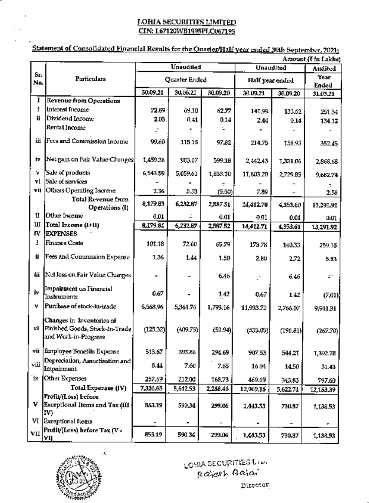## Statement of Consolidated Financial Results for the Quarter/Half year ended 30th September, 2021;

|      | Amount (Tin Lakha)                         |               |           |          |                 |          |           |  |  |
|------|--------------------------------------------|---------------|-----------|----------|-----------------|----------|-----------|--|--|
|      |                                            |               | Unaudited |          | Unaudited       |          |           |  |  |
| Sr.  | Particulars                                | Quarter Ended |           |          | Half year ended | Year     |           |  |  |
| No.  |                                            |               |           |          |                 | Ended    |           |  |  |
| I    |                                            | 30.09.21      | 30.06.21  | 30.09.20 | 30.09.21        | 30.09.20 | 31.03.21  |  |  |
| Ì    | Revenue from Operations<br>Interest Income |               |           |          |                 |          |           |  |  |
| ű    | Dividend Income                            | 72.89         | 69.10     | 62.77    | 141,99.         | 133.62   | 251.34    |  |  |
|      | Rental Income                              | 2.03          | 0,41      | 0.14     | 2.44            | 0.14     | 134.12    |  |  |
|      |                                            |               |           |          |                 |          |           |  |  |
| ш    | Fees and Commission Income                 | 99.60         | 115.15    | 97.82    | 214.75          | 158.93   | 352.45    |  |  |
|      |                                            |               |           |          |                 |          |           |  |  |
| i.   | Net gain on Fair Value Changes             | 1,459.36      | 983,07    | 599.18   | 2,442.43        | 1,331.06 | 2,868.68  |  |  |
| v    | Sale of products                           | 6,543.59      | 5,059.61  | 1,833.10 | 11,603.20       | 2,729,85 |           |  |  |
| ٧İ   | Sale of services                           |               |           |          |                 |          | 9,682.74  |  |  |
| vij  | Others Operating Income                    | 236           | 5.53      | (5.50)   | 7.89            |          | 2.58      |  |  |
|      | <b>Total Revenue from</b>                  |               |           |          |                 |          |           |  |  |
|      | Operations (I)                             | 8,179.83      | 6,232.87  | 2,587.51 | 14,412.70       | 4,353,60 | 13,291.91 |  |  |
| п    | Other Income                               | 0.01          |           | 0.01     | 0.01            | 0.01     | 0.01      |  |  |
| ш    | Total Income (1+11)                        | 8,179.84      | 6,232.87  | 2,587.52 | 14,412.71       | 4,353.61 | 13,291.92 |  |  |
| ΓV   | <b>EXPENSES</b>                            |               |           |          |                 |          |           |  |  |
| I    | <b>Finance Costs</b>                       | 101.18        | 72.60     | 65.79    | 173.78          | 140.33   | 259.15    |  |  |
| Ü    | Fees and Commission Expense                | 1.36          | 1.44      | 1,50     | 280             | 2.72     | 5.83      |  |  |
|      |                                            |               |           |          |                 |          |           |  |  |
| üй   | Net loss on Fair Value Changes             |               |           | 6.46     |                 | 6.46     | ÷.        |  |  |
| ív.  | Impairment on Financial                    | 0.67          |           |          |                 |          |           |  |  |
|      | Instruments                                |               |           | 1.42     | 0.67            | 1.42     | (7.01)    |  |  |
| v    | Purchase of stock-in-trade                 | 6,568,96      | 5,364.76  | 1,793.16 | 11,933.72       | 2,766.07 | 9,941.31  |  |  |
|      | Changes in Inventories of                  |               |           |          |                 |          |           |  |  |
|      | vi Finished Goods, Stock-In-Trade          | (125.32)      | (409.73)  | (50.94)  | (535.05)        | (196.80) | (267,70)  |  |  |
|      | and Work-in-Progress                       |               |           |          |                 |          |           |  |  |
|      | vii Employee Benefits Expense              | 513.67        | 393.86    | 294.69   | 907.53          | 544.21   | 1,392.78  |  |  |
|      | Depreciation, Amortisation and             |               |           |          |                 |          |           |  |  |
| viii | Impairment                                 | 8.44          | 7.60      | 7.65     | 16.04           | 14.50    | 31.43     |  |  |
|      | ix   Other Expenses                        | 257.69        | 212.00    | 168.73   | 469.69          | 343.83   | 797.60    |  |  |
|      | Total Expenses (IV)                        | 7,326.65      | 5,642.53  | 2,288.46 | 12,969.18       | 3,622.74 | 12,153,39 |  |  |
|      | Profit/(Loss) before                       |               |           |          |                 |          |           |  |  |
|      | V Exceptional Items and Tax (III           | 853.19        | 590.34    | 299.06   | 1,443.53        | 730.87   | 1,138,53  |  |  |
|      | IV)                                        |               |           |          |                 |          |           |  |  |
|      | VI Exceptional flems                       |               |           |          |                 |          |           |  |  |
| VII  | Profit/(Loss) before Tax (V -<br>YŊ        | 853.19        | 590.34    | 299.06   | 1,443,53        | 730.87   | 1,138,53  |  |  |



LOSIA SECURITIES UP-Rajeeh Balai Director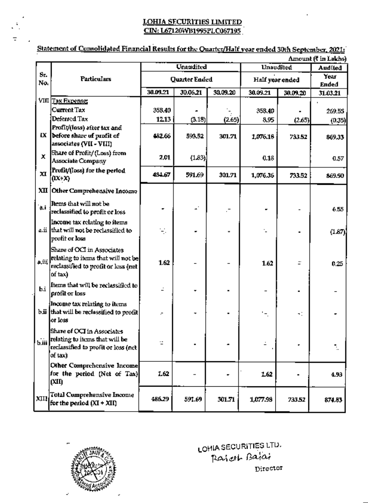### Statement of Cunsolidated Financial Results for the Quarter/Half year ended 30th September, 2021;

|           | Amount (₹ in Lakhs).                                                                                                 |               |                  |          |                          |          |          |  |  |  |
|-----------|----------------------------------------------------------------------------------------------------------------------|---------------|------------------|----------|--------------------------|----------|----------|--|--|--|
|           |                                                                                                                      |               | <b>Unandited</b> |          | <b>Unaudlied</b>         | Aud (led |          |  |  |  |
| $S_T$     | <b>Particulars</b>                                                                                                   | Quarter Ended |                  |          | Half year ended          | Year     |          |  |  |  |
| No.       |                                                                                                                      |               |                  |          |                          | Ended    |          |  |  |  |
|           |                                                                                                                      | 30.09.21      | 30.06.21         | 30.09.20 | 30.09.21                 | 30,09,20 | 31.03.21 |  |  |  |
|           | VIII Tax Expense:                                                                                                    |               |                  |          |                          |          |          |  |  |  |
|           | <b>Current Tax</b>                                                                                                   | 358.40        |                  |          | 358.40                   |          | 269.55   |  |  |  |
|           | Deferred Tax                                                                                                         | 12.13         | (3.13)           | (2.65)   | 8.95                     | (2.65)   | (0.35)   |  |  |  |
| LX.       | Profit/(loss) after tax and<br>before share of profit of<br>associates (VII - VIII)                                  | 482.66        | 593.52           | 301.71   | 1,076.18                 | 733.52   | 869.33   |  |  |  |
| x         | Share of Profit/(Loss) from<br><b>Associate Company</b>                                                              | 2.01          | (1.83)           |          | 0.18                     |          | 0.57     |  |  |  |
| <b>xI</b> | Profit/(loss) for the period<br>$(IX+X)$                                                                             | 484.67        | 591.69           | 301.71   | 1,076.36                 | 733.52   | 869.90   |  |  |  |
|           | XII Other Comprehensive Incomo                                                                                       |               |                  |          |                          |          |          |  |  |  |
| آباءِ آ   | Items that will not be<br>reclassified to profit or loss                                                             |               |                  |          |                          |          | 6.55     |  |  |  |
|           | Income tax relating to items<br>a.ii that will not be reclassified to<br>profit or loss                              | Ę.            |                  |          |                          |          | (1.87)   |  |  |  |
| a,ïiî     | Share of OCI in Associates<br>relating to items that will not be<br>reclassified to profit or loss (net<br>of tax)   | 1.62          |                  |          | 1.62                     |          | 0.25     |  |  |  |
| b.i       | Items that will be reclassified to<br>profit or loss                                                                 |               |                  |          |                          |          |          |  |  |  |
|           | Income tax relating to items<br>b.ii that will be reclassified to profit<br>or loss                                  |               |                  |          | $\overline{\phantom{a}}$ | ÷.       |          |  |  |  |
|           | Share of OCI in Associates<br>b.iii relating to items that will be<br>reclassified to profit or loss (net<br>of tax) | т             |                  |          |                          |          |          |  |  |  |
|           | Other Comprehensive Income<br>for the period (Net of Tax)<br>(XII)                                                   | 1.62          |                  |          | 1.62                     |          | 4.93     |  |  |  |
| XIII      | Total Comprehensive Income<br>for the period $(XI + XII)$                                                            | 486.29        | 591.69           | 301.71   | 1,077.98                 | 733.52   | 874.83   |  |  |  |



LOHIA SECURITIES LTU.<br>Paricul Bajai Director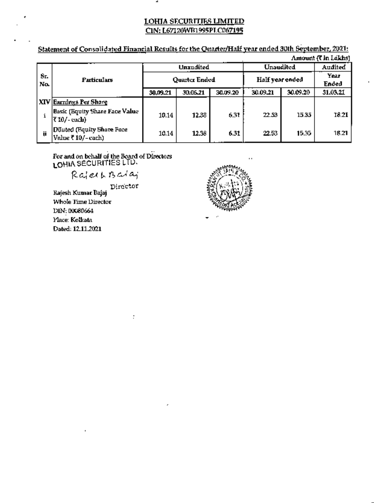Statement of Consolidated Financial Results for the Quarter/Half year ended 30th September, 2021: **But To Zitchcok** 

| Almount (VIII LAIKRS) |                                                             |                      |          |          |                 |               |          |  |  |
|-----------------------|-------------------------------------------------------------|----------------------|----------|----------|-----------------|---------------|----------|--|--|
|                       |                                                             | Unaudited            |          |          | Unaudited       | Audited       |          |  |  |
| 8г.<br>No.            | Particulars                                                 | <b>Quarter Ended</b> |          |          | Half year ended | Year<br>Ended |          |  |  |
|                       |                                                             | 30,09.21             | 30.06.21 | 30.09.20 | 30.09.21        | 30.09.20      | 31.03.21 |  |  |
|                       | <u>  XIV   Earnings Per Share</u>                           |                      |          |          |                 |               |          |  |  |
|                       | <b>Basic (Equity Share Face Value</b><br><b>₹10/-cacli}</b> | 10.14                | 12,38    | 6.31     | 22.53           | 15.35         | 18.21    |  |  |
| ü                     | Diuted (Equity Share Face)<br> Value ₹ 10/– cach)           | 10.14                | 12.38    | 6.31     | 22.53           | 15.35.        | 18.21    |  |  |

For and on behalf of the Board of Directors<br>LOHIA SECURITIES LTD.

 $\ddot{\cdot}$ 

RajechBaiaj

Director<br>Rajesh Kumar Bajaj<br>With Lunder Whole Time Director DIN: 00080664 Place: Kolkata Dated: 12.11.2021

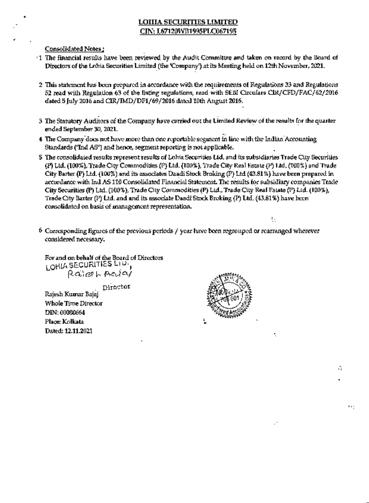Consolidated Notes:

- 1 The financial results have been reviewed by the Audit Committee and taken on record by the Board of Directors of the Lohia Securities Limited (the 'Company') at its Meeting held on 12th November, 2021.
- 2 This statement has been prepared in accordance with the requirements of Regulations 33 and Regulations. 52 read with Regulation 63 of the listing regulations, read with SEBI Circulars CIR/CFD/FAC/62/2016 dated 5 July 2016 and CIR/IMD/DF1/69/2016 dated 10th August 2016.
- 3 The Statutory Auditors of the Company have carried out the Limited Review of the results for the quarter ended September 30, 2021.
- 4 The Company does not have more than one reportable segment in line with the Indian Accounting Standards ('Ind AS'') and hence, segment reporting is not applicable.
- 5 The consolidated results represent results of Lohia Securities L1d, and its subsidiaries Trade City Securities (P) Ltd. (100%), Trade City Commodities (P) Ltd. (100%), Trade City Real Estate (P) Ltd. (100%) and Trade City Barter (P) Ltd. (100%) and its associates Daadi Stock Broking (P) Ltd (43.81%) have been prepared in accordance with Ind AS 110 Consolidated Financial Statement. The results for subsidiary companies Trade City Securities (P) Ltd. (100%), Trade City Commodities (P) Ltd., Trade City Real Fstate (P) Ltd. (100%), Trade City Barter (P) Ltd. and and its associate Daadi Stock Broking (P) Ltd. (43.81%) have been consolidated on basis of management representation.
- 6 Corresponding figures of the previous periods / year have been regrouped or rearranged wherever considered necessary.

For and on behalf of the Board of Directors LOHIA SECURITIES LITT Raiceh Aciai

Director

Rajesh Kumar Bajaj Whole Time Director DIN: 00080664 Place: Kolkata Dated: 12.11.2021



ŧ.

r.

û.

 $\mathbf{H}$